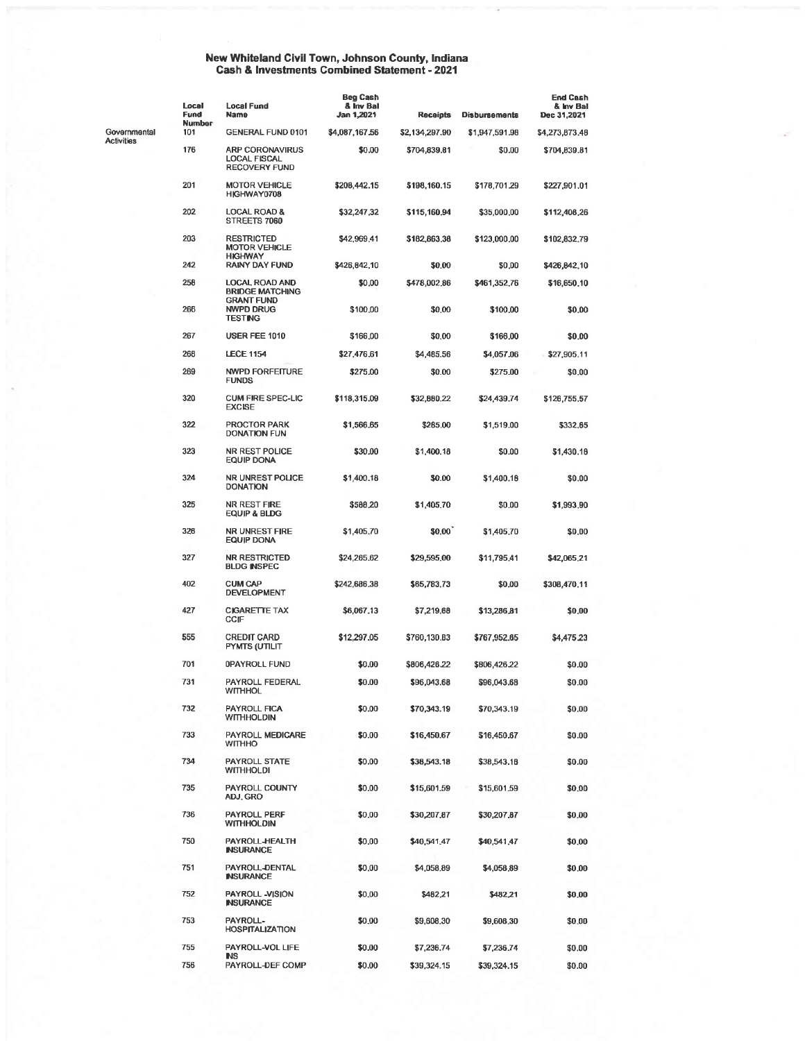## New Whiteland Civil Town, Johnson County, Indiana<br>Cash & Investments Combined Statement - 2021

|                   | Local<br>Fund        | <b>Local Fund</b><br>Name                                                                | <b>Beg Cash</b><br>& Inv Bal<br>Jan 1,2021 | <b>Recaipts</b> | <b>Disbursements</b> | <b>End Cash</b><br>& Inv Bal<br>Dec 31,2021 |
|-------------------|----------------------|------------------------------------------------------------------------------------------|--------------------------------------------|-----------------|----------------------|---------------------------------------------|
| Governmental      | <b>Number</b><br>101 | <b>GENERAL FUND 0101</b>                                                                 | \$4,087,167.56                             | \$2,134,297.90  | \$1,947,591.98       | \$4,273,873,48                              |
| <b>Activities</b> | 176                  | <b>ARP CORONAVIRUS</b><br>LOCAL FISCAL<br><b>RECOVERY FUND</b>                           | \$0.00                                     | \$704,839.81    | \$0.00               | \$704,839.81                                |
|                   | 201                  | <b>MOTOR VEHICLE</b><br>HIGHWAY0708                                                      | \$208,442.15                               | \$198,160.15    | \$178,701.29         | \$227,901.01                                |
|                   | 202                  | <b>LOCAL ROAD &amp;</b><br>STREETS 7060                                                  | \$32,247,32                                | \$115,160.94    | \$35,000.00          | \$112,408.26                                |
|                   | 203                  | <b>RESTRICTED</b><br><b>MOTOR VEHICLE</b><br><b>HIGHWAY</b>                              | \$42,969.41                                | \$182,863.38    | \$123,000.00         | \$102,832,79                                |
|                   | 242                  | <b>RAINY DAY FUND</b>                                                                    | \$426,842,10                               | \$0.00          | \$0,00               | \$426,842,10                                |
|                   | 258<br>266           | <b>LOCAL ROAD AND</b><br><b>BRIDGE MATCHING</b><br><b>GRANT FUND</b><br><b>NWPD DRUG</b> | \$0,00                                     | \$478,002.86    | \$461,352.76         | \$16,650,10                                 |
|                   |                      | <b>TESTING</b>                                                                           | \$100.00                                   | \$0,00          | \$100,00             | \$0,00                                      |
|                   | 267                  | USER FEE 1010                                                                            | \$166,00                                   | \$0.00          | \$166,00             | \$0,00                                      |
|                   | 268                  | <b>LECE 1154</b>                                                                         | \$27,476.61                                | \$4,485.56      | \$4,057.06           | \$27,905.11                                 |
|                   | 269                  | <b>NWPD FORFEITURE</b><br><b>FUNDS</b>                                                   | \$275.00                                   | \$0.00          | \$275.00             | \$0.00                                      |
|                   | 320                  | <b>CUM FIRE SPEC-LIC</b><br><b>EXCISE</b>                                                | \$118,315.09                               | \$32,880.22     | \$24,439.74          | \$126,755.57                                |
|                   | 322                  | <b>PROCTOR PARK</b><br><b>DONATION FUN</b>                                               | \$1,566.65                                 | \$285.00        | \$1,519.00           | \$332.65                                    |
|                   | 323                  | <b>NR REST POLICE</b><br>EQUIP DONA                                                      | \$30.00                                    | \$1,400.18      | \$0.00               | \$1,430.18                                  |
|                   | 324                  | <b>NR UNREST POLICE</b><br><b>DONATION</b>                                               | \$1,400.18                                 | \$0.00          | \$1,400.18           | \$0.00                                      |
|                   | 325                  | NR REST FIRE<br>EQUIP & BLDG                                                             | \$588,20                                   | \$1,405,70      | \$0,00               | \$1,993.90                                  |
|                   | 326                  | <b>NR UNREST FIRE</b><br>EQUIP DONA                                                      | \$1,405.70                                 | \$0.00          | \$1,405.70           | \$0.00                                      |
|                   | 327                  | <b>NR RESTRICTED</b><br><b>BLDG INSPEC</b>                                               | \$24,265.62                                | \$29,595,00     | \$11,795.41          | \$42,065.21                                 |
|                   | 402                  | <b>CUM CAP</b><br><b>DEVELOPMENT</b>                                                     | \$242,686.38                               | \$65,783,73     | \$0.00               | \$308,470.11                                |
|                   | 427                  | <b>CIGARETTE TAX</b><br>CCIF                                                             | \$6,067.13                                 | \$7,219.68      | \$13,286.81          | \$0,00                                      |
|                   | 555                  | <b>CREDIT CARD</b><br>PYMTS (UTILIT                                                      | \$12,297.05                                | \$760,130.B3    | \$767,952.65         | 54,475.23                                   |
|                   | 701                  | <b>OPAYROLL FUND</b>                                                                     | \$0.00                                     | \$806,426.22    | \$806,426.22         | \$0.00                                      |
|                   | 731                  | PAYROLL FEDERAL<br><b>WITHHOL</b>                                                        | \$0.00                                     | \$96,043.68     | \$96,043.68          | \$0.00                                      |
|                   | 732                  | PAYROLL FICA<br><b>WITHHOLDIN</b>                                                        | \$0.00                                     | \$70,343.19     | \$70,343.19          | \$0.00                                      |
|                   | 733                  | PAYROLL MEDICARE<br><b>WITHHO</b>                                                        | \$0.00                                     | \$16,450.67     | \$16,450.67          | \$0.00                                      |
|                   | 734                  | PAYROLL STATE<br><b>WITHHOLDI</b>                                                        | \$0.00                                     | \$38,543.18     | \$38,543.18          | \$0.00                                      |
|                   | 735                  | PAYROLL COUNTY<br>ADJ, GRO                                                               | \$0.00                                     | \$15,601.59     | \$15,601.59          | \$0,00                                      |
|                   | 736                  | PAYROLL PERF<br><b>WITHHOLDIN</b>                                                        | \$0.00                                     | \$30,207,87     | \$30,207.87          | \$0,00                                      |
|                   | 750                  | PAYROLL HEALTH<br><b>INSURANCE</b>                                                       | \$0.00                                     | \$40,541.47     | \$40,541.47          | \$0.00                                      |
|                   | 751                  | PAYROLL-DENTAL<br><b>INSURANCE</b>                                                       | \$0.00                                     | \$4,058.89      | \$4,058,89           | \$0,00                                      |
|                   | 752                  | PAYROLL -VISION<br><b>INSURANCE</b>                                                      | \$0,00                                     | \$482,21        | \$482,21             | \$0,00                                      |
|                   | 753                  | PAYROLL-<br><b>HOSPITALIZATION</b>                                                       | \$0.00                                     | \$9,608.30      | \$9,608.30           | \$0.00                                      |
|                   | 755                  | PAYROLL-VOL LIFE<br><b>NS</b>                                                            | \$0.00                                     | \$7,236.74      | \$7,236.74           | \$0.00                                      |
|                   | 756                  | PAYROLL-DEF COMP                                                                         | \$0.00                                     | \$39,324.15     | \$39,324.15          | \$0.00                                      |